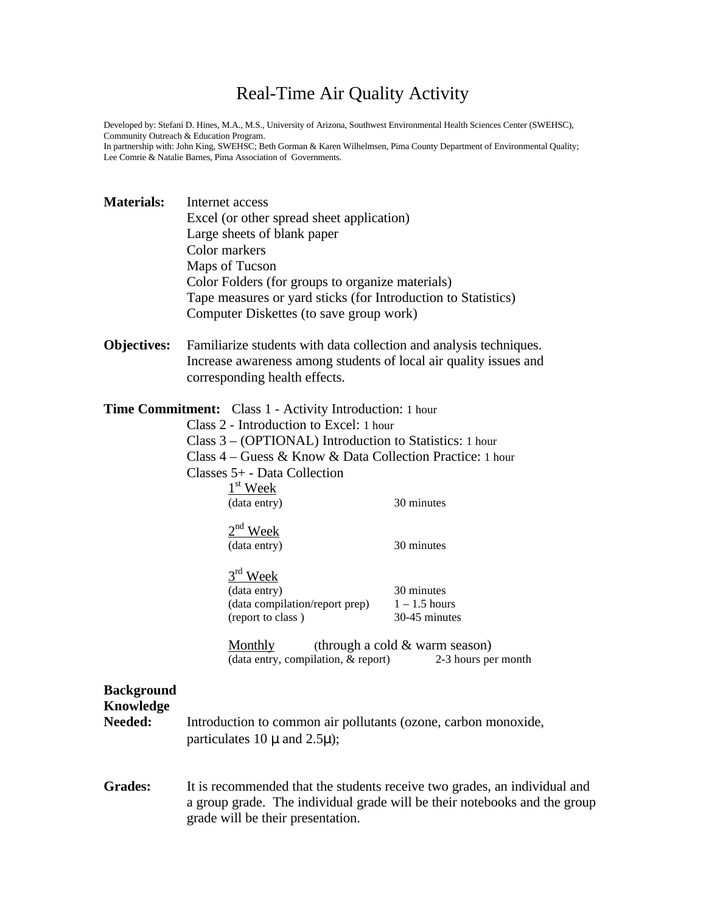# Real-Time Air Quality Activity

Developed by: Stefani D. Hines, M.A., M.S., University of Arizona, Southwest Environmental Health Sciences Center (SWEHSC), Community Outreach & Education Program.

In partnership with: John King, SWEHSC; Beth Gorman & Karen Wilhelmsen, Pima County Department of Environmental Quality; Lee Comrie & Natalie Barnes, Pima Association of Governments.

| <b>Materials:</b>                         | Internet access<br>Excel (or other spread sheet application)<br>Large sheets of blank paper<br>Color markers<br>Maps of Tucson<br>Color Folders (for groups to organize materials)<br>Tape measures or yard sticks (for Introduction to Statistics)<br>Computer Diskettes (to save group work)                                                                                                                                                                        |                                                                                                                                     |  |  |  |
|-------------------------------------------|-----------------------------------------------------------------------------------------------------------------------------------------------------------------------------------------------------------------------------------------------------------------------------------------------------------------------------------------------------------------------------------------------------------------------------------------------------------------------|-------------------------------------------------------------------------------------------------------------------------------------|--|--|--|
| <b>Objectives:</b>                        | Familiarize students with data collection and analysis techniques.<br>Increase awareness among students of local air quality issues and<br>corresponding health effects.                                                                                                                                                                                                                                                                                              |                                                                                                                                     |  |  |  |
|                                           | Time Commitment: Class 1 - Activity Introduction: 1 hour<br>Class 2 - Introduction to Excel: 1 hour<br>Class 3 – (OPTIONAL) Introduction to Statistics: 1 hour<br>Class 4 – Guess & Know & Data Collection Practice: 1 hour<br>Classes 5+ - Data Collection<br>$1st$ Week<br>(data entry)<br>$2nd$ Week<br>(data entry)<br>$3rd$ Week<br>(data entry)<br>(data compilation/report prep)<br>(report to class)<br><b>Monthly</b><br>(data entry, compilation, & report) | 30 minutes<br>30 minutes<br>30 minutes<br>$1 - 1.5$ hours<br>30-45 minutes<br>(through a cold & warm season)<br>2-3 hours per month |  |  |  |
| <b>Background</b><br>Knowledge<br>Needed: | Introduction to common air pollutants (ozone, carbon monoxide,<br>particulates 10 $\mu$ and 2.5 $\mu$ );                                                                                                                                                                                                                                                                                                                                                              |                                                                                                                                     |  |  |  |
| <b>Grades:</b>                            | It is recommended that the students receive two grades, an individual and<br>a group grade. The individual grade will be their notebooks and the group<br>grade will be their presentation.                                                                                                                                                                                                                                                                           |                                                                                                                                     |  |  |  |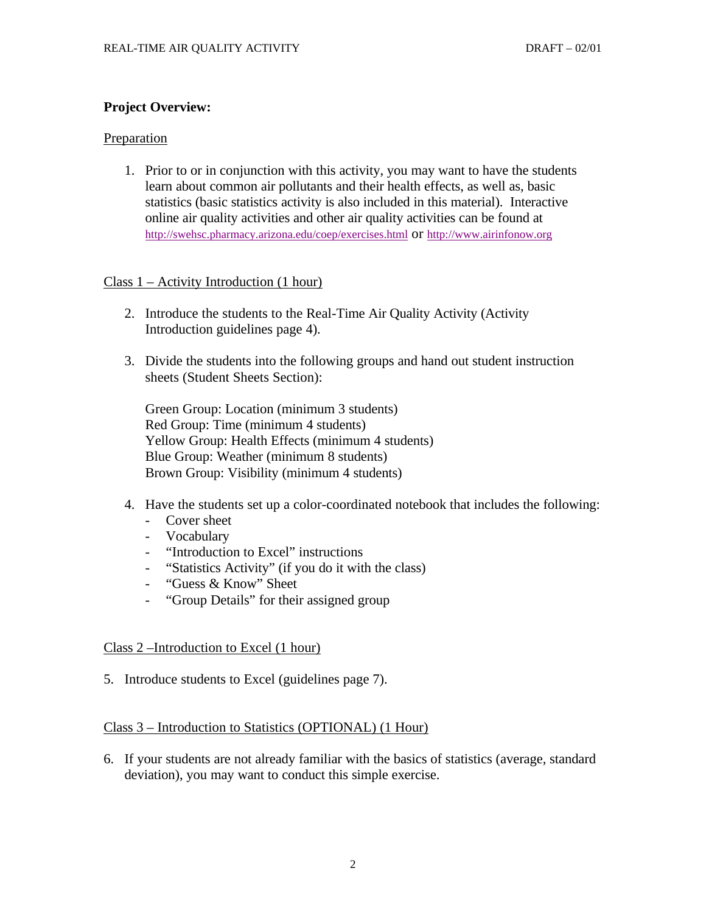## **Project Overview:**

## Preparation

1. Prior to or in conjunction with this activity, you may want to have the students learn about common air pollutants and their health effects, as well as, basic statistics (basic statistics activity is also included in this material). Interactive online air quality activities and other air quality activities can be found at http://swehsc.pharmacy.arizona.edu/coep/exercises.html or http://www.airinfonow.org

## Class 1 – Activity Introduction (1 hour)

- 2. Introduce the students to the Real-Time Air Quality Activity (Activity Introduction guidelines page 4).
- 3. Divide the students into the following groups and hand out student instruction sheets (Student Sheets Section):

Green Group: Location (minimum 3 students) Red Group: Time (minimum 4 students) Yellow Group: Health Effects (minimum 4 students) Blue Group: Weather (minimum 8 students) Brown Group: Visibility (minimum 4 students)

- 4. Have the students set up a color-coordinated notebook that includes the following:
	- Cover sheet
	- Vocabulary
	- "Introduction to Excel" instructions
	- "Statistics Activity" (if you do it with the class)
	- "Guess & Know" Sheet
	- "Group Details" for their assigned group

## Class 2 –Introduction to Excel (1 hour)

5. Introduce students to Excel (guidelines page 7).

## Class 3 – Introduction to Statistics (OPTIONAL) (1 Hour)

6. If your students are not already familiar with the basics of statistics (average, standard deviation), you may want to conduct this simple exercise.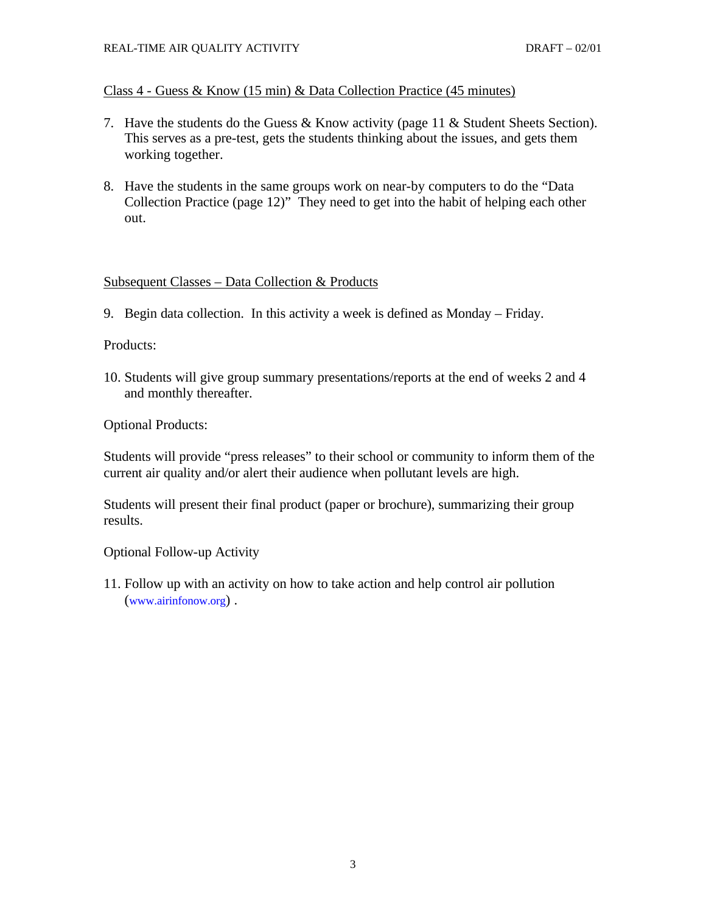## Class 4 - Guess & Know (15 min) & Data Collection Practice (45 minutes)

- 7. Have the students do the Guess & Know activity (page 11 & Student Sheets Section). This serves as a pre-test, gets the students thinking about the issues, and gets them working together.
- 8. Have the students in the same groups work on near-by computers to do the "Data Collection Practice (page 12)" They need to get into the habit of helping each other out.

## Subsequent Classes – Data Collection & Products

9. Begin data collection. In this activity a week is defined as Monday – Friday.

#### Products:

10. Students will give group summary presentations/reports at the end of weeks 2 and 4 and monthly thereafter.

## Optional Products:

Students will provide "press releases" to their school or community to inform them of the current air quality and/or alert their audience when pollutant levels are high.

Students will present their final product (paper or brochure), summarizing their group results.

Optional Follow-up Activity

11. Follow up with an activity on how to take action and help control air pollution (www.airinfonow.org) .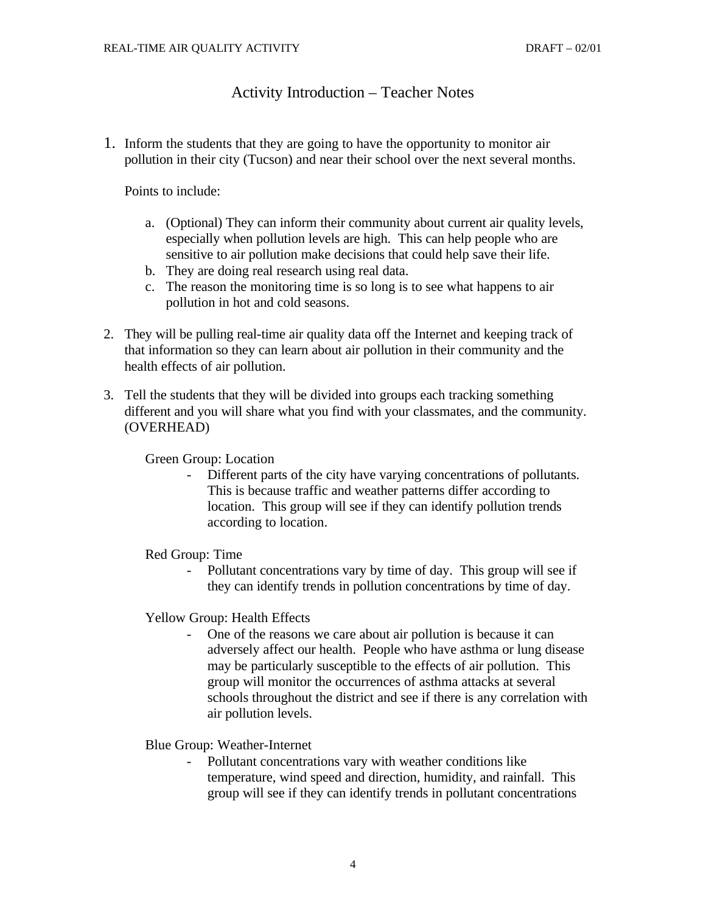## Activity Introduction – Teacher Notes

1. Inform the students that they are going to have the opportunity to monitor air pollution in their city (Tucson) and near their school over the next several months.

Points to include:

- a. (Optional) They can inform their community about current air quality levels, especially when pollution levels are high. This can help people who are sensitive to air pollution make decisions that could help save their life.
- b. They are doing real research using real data.
- c. The reason the monitoring time is so long is to see what happens to air pollution in hot and cold seasons.
- 2. They will be pulling real-time air quality data off the Internet and keeping track of that information so they can learn about air pollution in their community and the health effects of air pollution.
- 3. Tell the students that they will be divided into groups each tracking something different and you will share what you find with your classmates, and the community. (OVERHEAD)

Green Group: Location

Different parts of the city have varying concentrations of pollutants. This is because traffic and weather patterns differ according to location. This group will see if they can identify pollution trends according to location.

Red Group: Time

Pollutant concentrations vary by time of day. This group will see if they can identify trends in pollution concentrations by time of day.

Yellow Group: Health Effects

- One of the reasons we care about air pollution is because it can adversely affect our health. People who have asthma or lung disease may be particularly susceptible to the effects of air pollution. This group will monitor the occurrences of asthma attacks at several schools throughout the district and see if there is any correlation with air pollution levels.

Blue Group: Weather-Internet

Pollutant concentrations vary with weather conditions like temperature, wind speed and direction, humidity, and rainfall. This group will see if they can identify trends in pollutant concentrations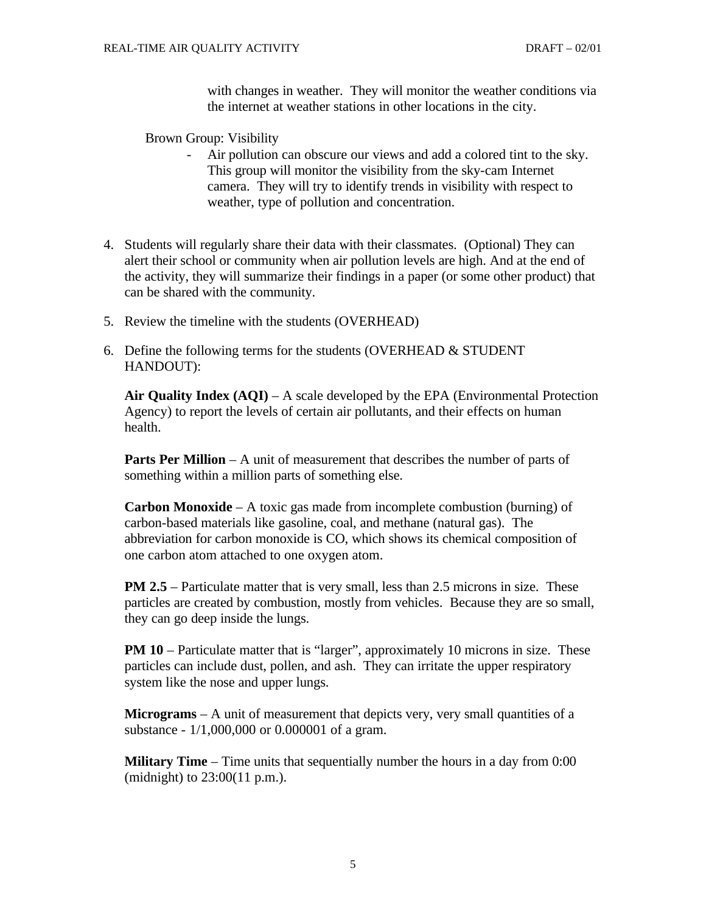with changes in weather. They will monitor the weather conditions via the internet at weather stations in other locations in the city.

Brown Group: Visibility

- Air pollution can obscure our views and add a colored tint to the sky. This group will monitor the visibility from the sky-cam Internet camera. They will try to identify trends in visibility with respect to weather, type of pollution and concentration.
- 4. Students will regularly share their data with their classmates. (Optional) They can alert their school or community when air pollution levels are high. And at the end of the activity, they will summarize their findings in a paper (or some other product) that can be shared with the community.
- 5. Review the timeline with the students (OVERHEAD)
- 6. Define the following terms for the students (OVERHEAD  $&$  STUDENT HANDOUT):

**Air Quality Index (AQI)** – A scale developed by the EPA (Environmental Protection Agency) to report the levels of certain air pollutants, and their effects on human health.

**Parts Per Million** – A unit of measurement that describes the number of parts of something within a million parts of something else.

**Carbon Monoxide** – A toxic gas made from incomplete combustion (burning) of carbon-based materials like gasoline, coal, and methane (natural gas). The abbreviation for carbon monoxide is CO, which shows its chemical composition of one carbon atom attached to one oxygen atom.

**PM 2.5** – Particulate matter that is very small, less than 2.5 microns in size. These particles are created by combustion, mostly from vehicles. Because they are so small, they can go deep inside the lungs.

**PM 10** – Particulate matter that is "larger", approximately 10 microns in size. These particles can include dust, pollen, and ash. They can irritate the upper respiratory system like the nose and upper lungs.

**Micrograms** – A unit of measurement that depicts very, very small quantities of a substance - 1/1,000,000 or 0.000001 of a gram.

**Military Time** – Time units that sequentially number the hours in a day from 0:00 (midnight) to 23:00(11 p.m.).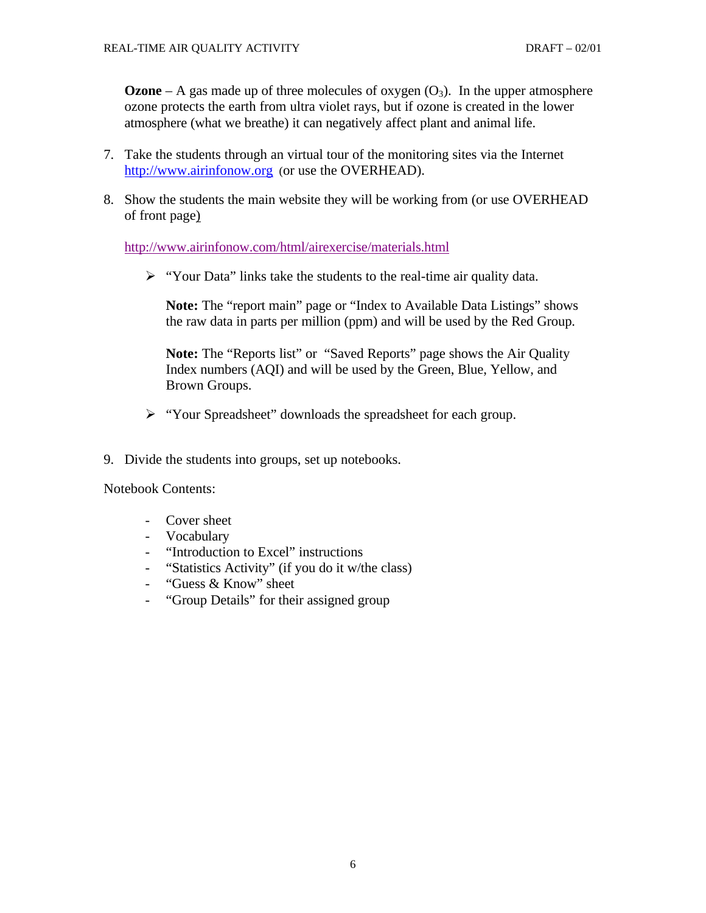**Ozone** – A gas made up of three molecules of oxygen  $(O_3)$ . In the upper atmosphere ozone protects the earth from ultra violet rays, but if ozone is created in the lower atmosphere (what we breathe) it can negatively affect plant and animal life.

- 7. Take the students through an virtual tour of the monitoring sites via the Internet http://www.airinfonow.org (or use the OVERHEAD).
- 8. Show the students the main website they will be working from (or use OVERHEAD of front page)

http://www.airinfonow.com/html/airexercise/materials.html

 $\triangleright$  "Your Data" links take the students to the real-time air quality data.

**Note:** The "report main" page or "Index to Available Data Listings" shows the raw data in parts per million (ppm) and will be used by the Red Group.

**Note:** The "Reports list" or "Saved Reports" page shows the Air Quality Index numbers (AQI) and will be used by the Green, Blue, Yellow, and Brown Groups.

- ÿ "Your Spreadsheet" downloads the spreadsheet for each group.
- 9. Divide the students into groups, set up notebooks.

Notebook Contents:

- Cover sheet
- Vocabulary
- "Introduction to Excel" instructions
- "Statistics Activity" (if you do it w/the class)
- "Guess & Know" sheet
- "Group Details" for their assigned group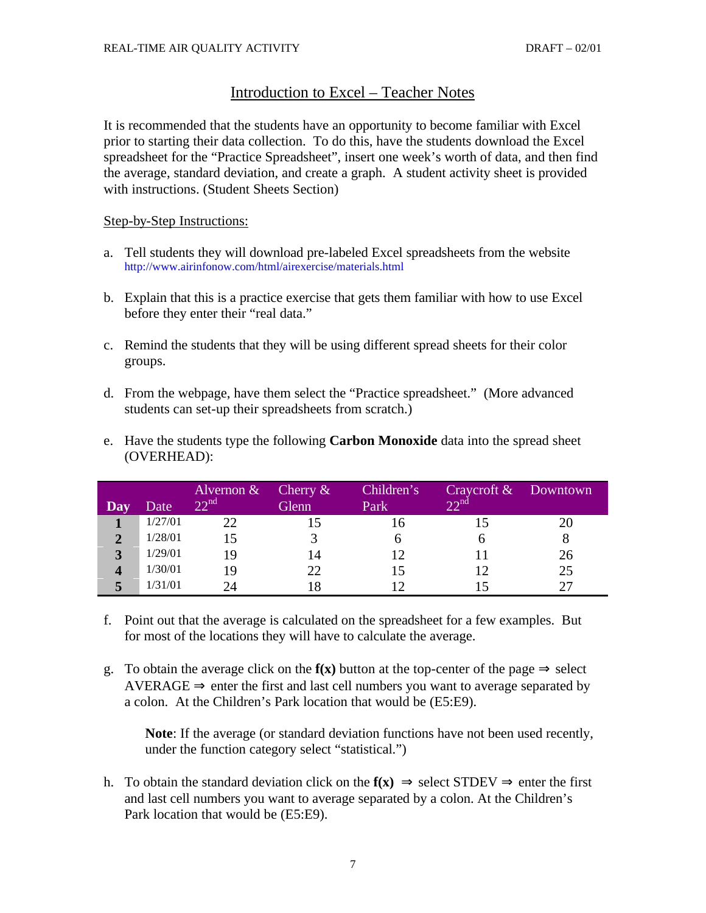# Introduction to Excel – Teacher Notes

It is recommended that the students have an opportunity to become familiar with Excel prior to starting their data collection. To do this, have the students download the Excel spreadsheet for the "Practice Spreadsheet", insert one week's worth of data, and then find the average, standard deviation, and create a graph. A student activity sheet is provided with instructions. (Student Sheets Section)

Step-by-Step Instructions:

- a. Tell students they will download pre-labeled Excel spreadsheets from the website http://www.airinfonow.com/html/airexercise/materials.html
- b. Explain that this is a practice exercise that gets them familiar with how to use Excel before they enter their "real data."
- c. Remind the students that they will be using different spread sheets for their color groups.
- d. From the webpage, have them select the "Practice spreadsheet." (More advanced students can set-up their spreadsheets from scratch.)
- e. Have the students type the following **Carbon Monoxide** data into the spread sheet (OVERHEAD):

|             |         | Alvernon $\&$    | Cherry $\&$ | Children's | Craycroft & Downtown |    |
|-------------|---------|------------------|-------------|------------|----------------------|----|
|             | Date    | 22 <sup>nd</sup> | Glenn       | Park       | 22 <sub>nd</sub>     |    |
|             | 1/27/01 | $\gamma\gamma$   |             |            |                      |    |
|             | 1/28/01 |                  |             |            |                      |    |
| $\mathbf 3$ | 1/29/01 | 19               | 14          | 12         |                      | 26 |
|             | 1/30/01 | 1 Q              | 22          | 15         |                      | 25 |
|             | 1/31/01 |                  |             |            |                      |    |

- f. Point out that the average is calculated on the spreadsheet for a few examples. But for most of the locations they will have to calculate the average.
- g. To obtain the average click on the  $f(x)$  button at the top-center of the page  $\Rightarrow$  select AVERAGE  $\Rightarrow$  enter the first and last cell numbers you want to average separated by a colon. At the Children's Park location that would be (E5:E9).

**Note**: If the average (or standard deviation functions have not been used recently, under the function category select "statistical.")

h. To obtain the standard deviation click on the  $f(x) \Rightarrow$  select STDEV  $\Rightarrow$  enter the first and last cell numbers you want to average separated by a colon. At the Children's Park location that would be (E5:E9).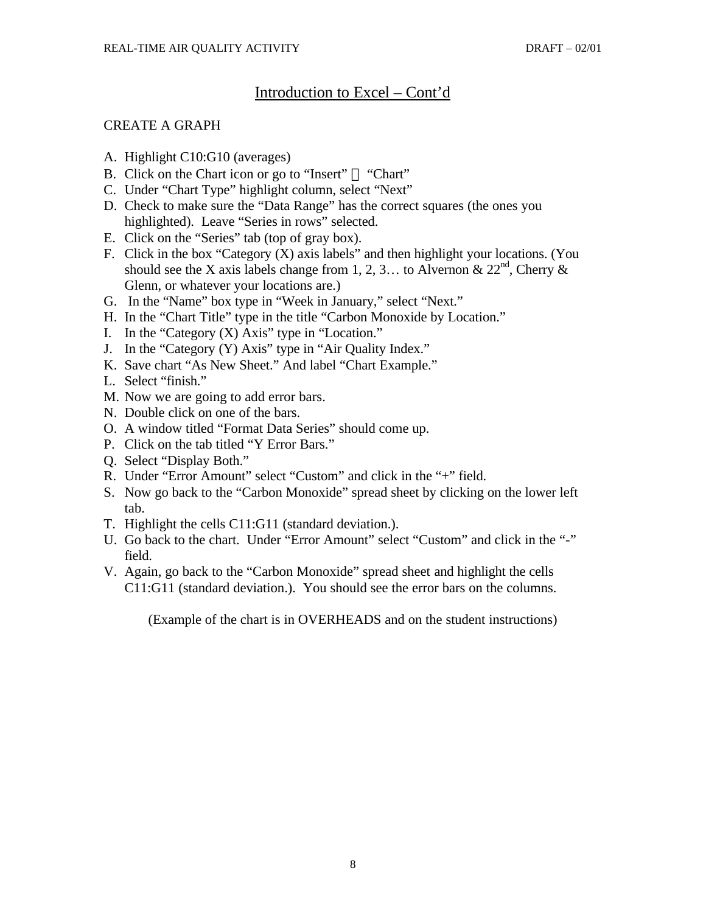# Introduction to Excel – Cont'd

## CREATE A GRAPH

- A. Highlight C10:G10 (averages)
- B. Click on the Chart icon or go to "Insert"  $\mathbb{I}^M$  "Chart"
- C. Under "Chart Type" highlight column, select "Next"
- D. Check to make sure the "Data Range" has the correct squares (the ones you highlighted). Leave "Series in rows" selected.
- E. Click on the "Series" tab (top of gray box).
- F. Click in the box "Category (X) axis labels" and then highlight your locations. (You should see the X axis labels change from 1, 2, 3... to Alvernon &  $22<sup>nd</sup>$ , Cherry & Glenn, or whatever your locations are.)
- G. In the "Name" box type in "Week in January," select "Next."
- H. In the "Chart Title" type in the title "Carbon Monoxide by Location."
- I. In the "Category  $(X)$  Axis" type in "Location."
- J. In the "Category (Y) Axis" type in "Air Quality Index."
- K. Save chart "As New Sheet." And label "Chart Example."
- L. Select "finish."
- M. Now we are going to add error bars.
- N. Double click on one of the bars.
- O. A window titled "Format Data Series" should come up.
- P. Click on the tab titled "Y Error Bars."
- Q. Select "Display Both."
- R. Under "Error Amount" select "Custom" and click in the "+" field.
- S. Now go back to the "Carbon Monoxide" spread sheet by clicking on the lower left tab.
- T. Highlight the cells C11:G11 (standard deviation.).
- U. Go back to the chart. Under "Error Amount" select "Custom" and click in the "-" field.
- V. Again, go back to the "Carbon Monoxide" spread sheet and highlight the cells C11:G11 (standard deviation.). You should see the error bars on the columns.

(Example of the chart is in OVERHEADS and on the student instructions)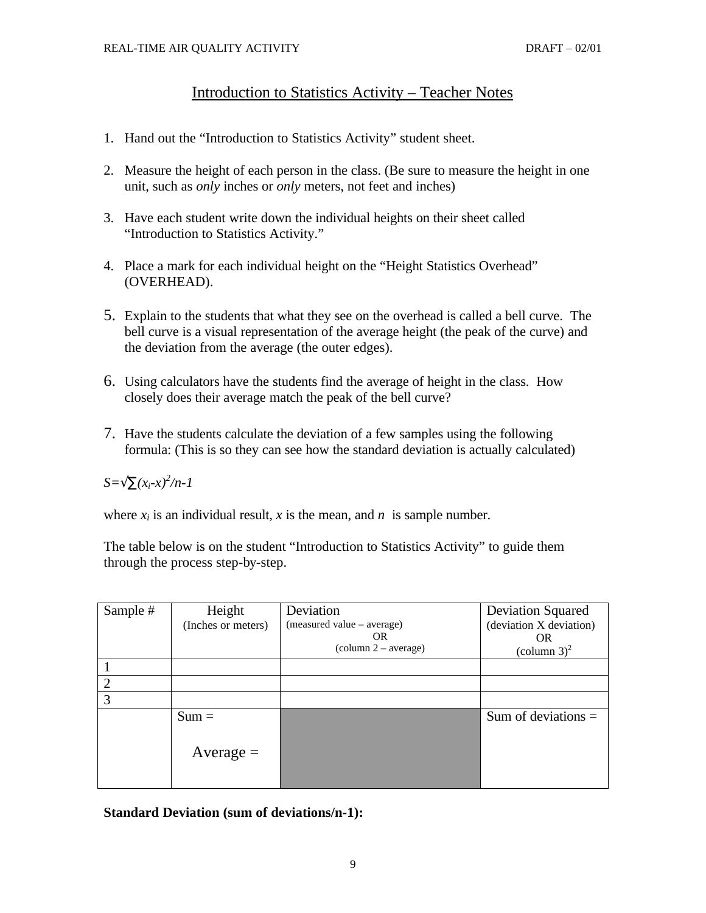# Introduction to Statistics Activity – Teacher Notes

- 1. Hand out the "Introduction to Statistics Activity" student sheet.
- 2. Measure the height of each person in the class. (Be sure to measure the height in one unit, such as *only* inches or *only* meters, not feet and inches)
- 3. Have each student write down the individual heights on their sheet called "Introduction to Statistics Activity."
- 4. Place a mark for each individual height on the "Height Statistics Overhead" (OVERHEAD).
- 5. Explain to the students that what they see on the overhead is called a bell curve. The bell curve is a visual representation of the average height (the peak of the curve) and the deviation from the average (the outer edges).
- 6. Using calculators have the students find the average of height in the class. How closely does their average match the peak of the bell curve?
- 7. Have the students calculate the deviation of a few samples using the following formula: (This is so they can see how the standard deviation is actually calculated)

# *S=Öå(xi-x)<sup>2</sup> /n-1*

where  $x_i$  is an individual result,  $x$  is the mean, and  $n$  is sample number.

The table below is on the student "Introduction to Statistics Activity" to guide them through the process step-by-step.

| Sample # | Height             | Deviation                     | <b>Deviation Squared</b> |
|----------|--------------------|-------------------------------|--------------------------|
|          | (Inches or meters) | (measured value – average)    | (deviation X deviation)  |
|          |                    | OR.                           | <b>OR</b>                |
|          |                    | $\text{(column 2 – average)}$ | $\text{(column 3)}^2$    |
|          |                    |                               |                          |
| C        |                    |                               |                          |
| 3        |                    |                               |                          |
|          | $Sum =$            |                               | Sum of deviations $=$    |
|          | Average $=$        |                               |                          |
|          |                    |                               |                          |

**Standard Deviation (sum of deviations/n-1):**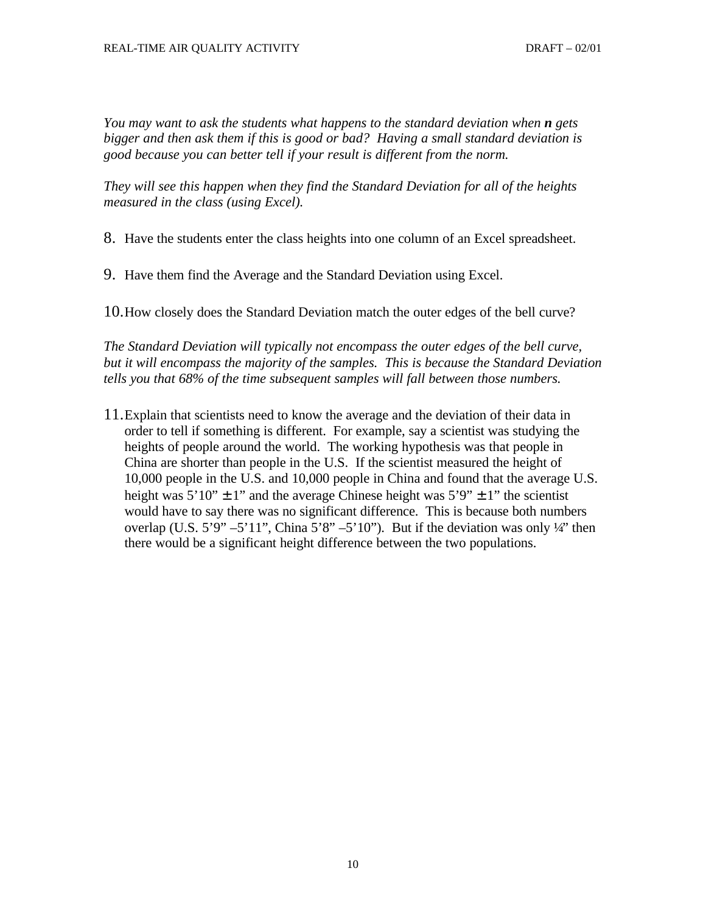*You may want to ask the students what happens to the standard deviation when <i>n* gets *bigger and then ask them if this is good or bad? Having a small standard deviation is good because you can better tell if your result is different from the norm.* 

*They will see this happen when they find the Standard Deviation for all of the heights measured in the class (using Excel).*

8. Have the students enter the class heights into one column of an Excel spreadsheet.

9. Have them find the Average and the Standard Deviation using Excel.

10.How closely does the Standard Deviation match the outer edges of the bell curve?

*The Standard Deviation will typically not encompass the outer edges of the bell curve, but it will encompass the majority of the samples. This is because the Standard Deviation tells you that 68% of the time subsequent samples will fall between those numbers.*

11.Explain that scientists need to know the average and the deviation of their data in order to tell if something is different. For example, say a scientist was studying the heights of people around the world. The working hypothesis was that people in China are shorter than people in the U.S. If the scientist measured the height of 10,000 people in the U.S. and 10,000 people in China and found that the average U.S. height was  $5'10'' \pm 1''$  and the average Chinese height was  $5'9'' \pm 1''$  the scientist would have to say there was no significant difference. This is because both numbers overlap (U.S. 5'9" –5'11", China 5'8" –5'10"). But if the deviation was only  $\frac{1}{4}$ " then there would be a significant height difference between the two populations.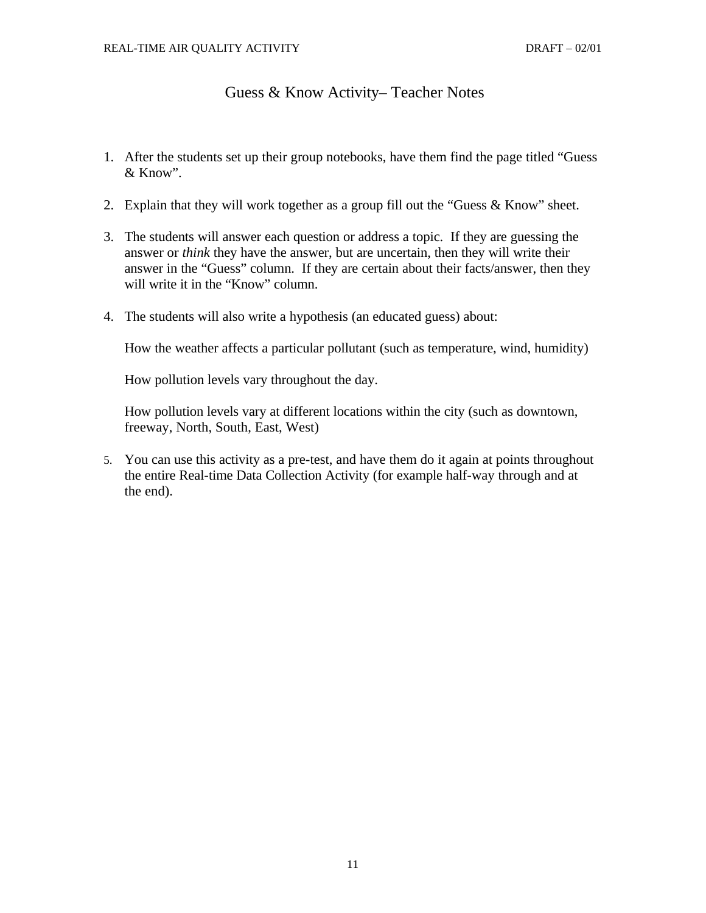# Guess & Know Activity– Teacher Notes

- 1. After the students set up their group notebooks, have them find the page titled "Guess & Know".
- 2. Explain that they will work together as a group fill out the "Guess & Know" sheet.
- 3. The students will answer each question or address a topic. If they are guessing the answer or *think* they have the answer, but are uncertain, then they will write their answer in the "Guess" column. If they are certain about their facts/answer, then they will write it in the "Know" column.
- 4. The students will also write a hypothesis (an educated guess) about:

How the weather affects a particular pollutant (such as temperature, wind, humidity)

How pollution levels vary throughout the day.

How pollution levels vary at different locations within the city (such as downtown, freeway, North, South, East, West)

5. You can use this activity as a pre-test, and have them do it again at points throughout the entire Real-time Data Collection Activity (for example half-way through and at the end).